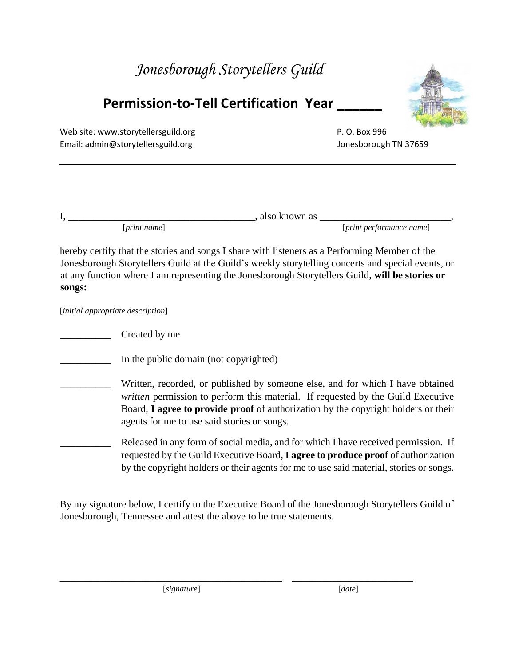## *Jonesborough Storytellers Guild*

## **Permission-to-Tell Certification Year \_\_\_\_\_\_**



Web site: [www.storytellersguild.org](http://www.storytellersguild.org/) example and the state of P.O. Box 996 Email: admin@storytellersguild.org Jonesborough TN 37659

| . . |               | also<br>known as |                                        |  |
|-----|---------------|------------------|----------------------------------------|--|
|     | print<br>name |                  | <i><u>[print performance name]</u></i> |  |

hereby certify that the stories and songs I share with listeners as a Performing Member of the Jonesborough Storytellers Guild at the Guild's weekly storytelling concerts and special events, or at any function where I am representing the Jonesborough Storytellers Guild, **will be stories or songs:** 

[*initial appropriate description*]

*\_\_\_\_\_\_\_\_\_\_* Created by me

In the public domain (not copyrighted)

Written, recorded, or published by someone else, and for which I have obtained *written* permission to perform this material. If requested by the Guild Executive Board, **I agree to provide proof** of authorization by the copyright holders or their agents for me to use said stories or songs.

Released in any form of social media, and for which I have received permission. If requested by the Guild Executive Board, **I agree to produce proof** of authorization by the copyright holders or their agents for me to use said material, stories or songs.

By my signature below, I certify to the Executive Board of the Jonesborough Storytellers Guild of Jonesborough, Tennessee and attest the above to be true statements.

[*signature*] [*date*]

\_\_\_\_\_\_\_\_\_\_\_\_\_\_\_\_\_\_\_\_\_\_\_\_\_\_\_\_\_\_\_\_\_\_\_\_\_\_\_\_\_\_\_\_ \_\_\_\_\_\_\_\_\_\_\_\_\_\_\_\_\_\_\_\_\_\_\_\_